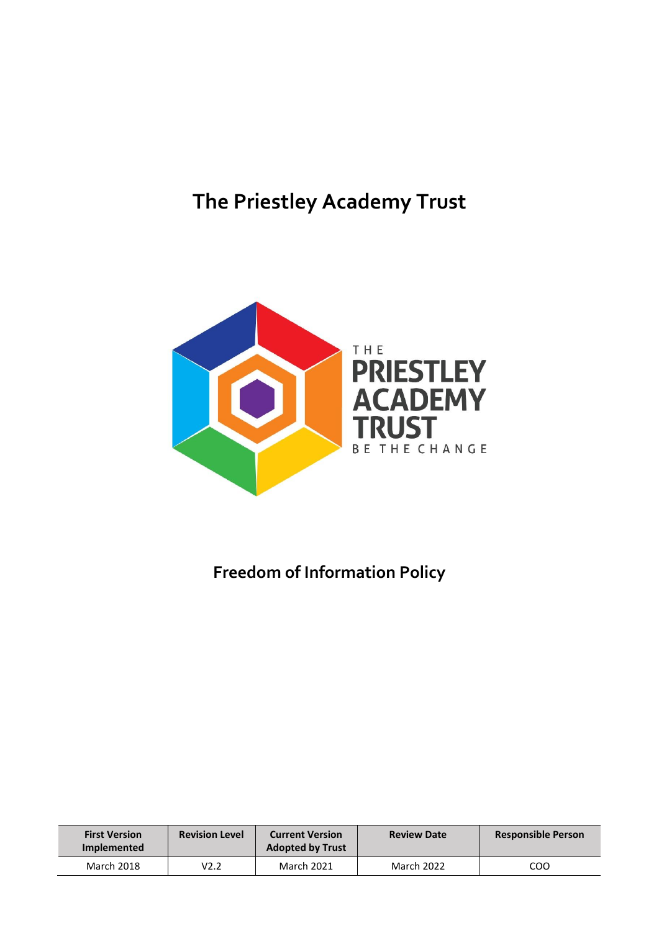# **The Priestley Academy Trust**



# **Freedom of Information Policy**

| <b>First Version</b><br>Implemented | <b>Revision Level</b> | <b>Current Version</b><br><b>Adopted by Trust</b> | <b>Review Date</b> | <b>Responsible Person</b> |
|-------------------------------------|-----------------------|---------------------------------------------------|--------------------|---------------------------|
| March 2018                          | V2.2                  | <b>March 2021</b>                                 | <b>March 2022</b>  | COO                       |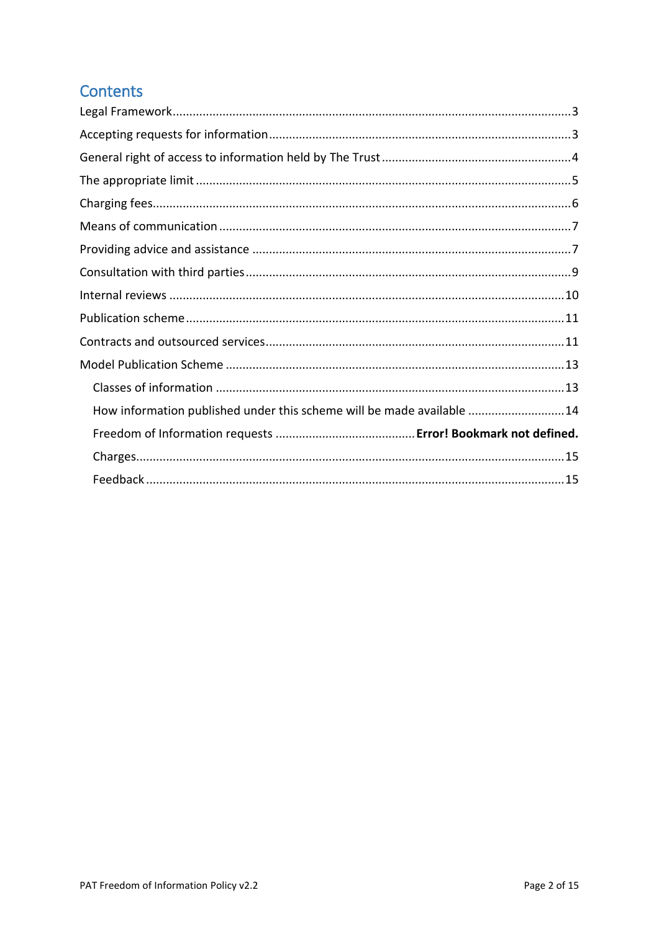# **Contents**

| How information published under this scheme will be made available 14 |  |
|-----------------------------------------------------------------------|--|
|                                                                       |  |
|                                                                       |  |
|                                                                       |  |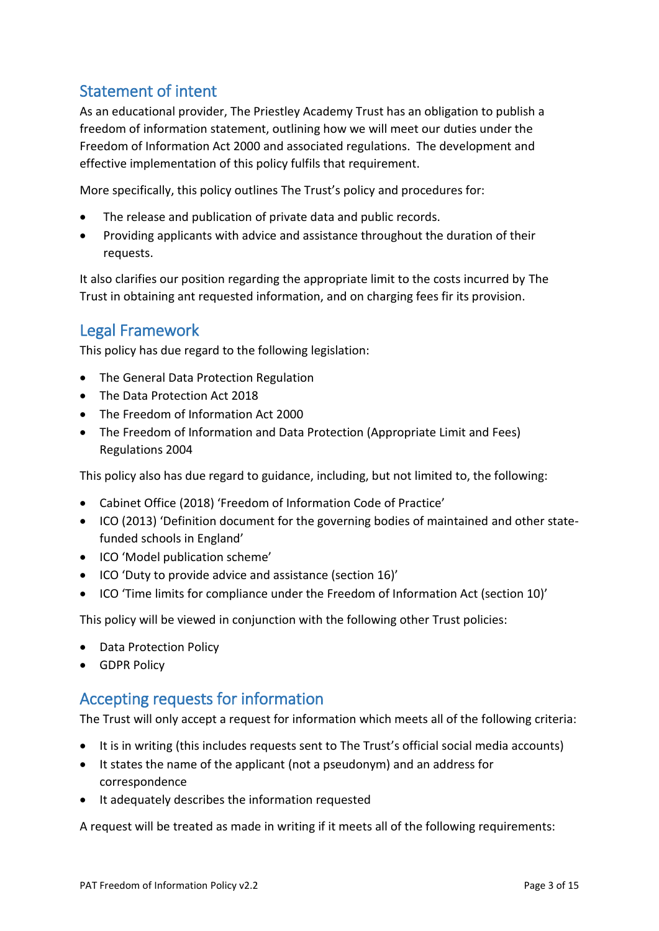### <span id="page-2-0"></span>Statement of intent

As an educational provider, The Priestley Academy Trust has an obligation to publish a freedom of information statement, outlining how we will meet our duties under the Freedom of Information Act 2000 and associated regulations. The development and effective implementation of this policy fulfils that requirement.

More specifically, this policy outlines The Trust's policy and procedures for:

- The release and publication of private data and public records.
- Providing applicants with advice and assistance throughout the duration of their requests.

It also clarifies our position regarding the appropriate limit to the costs incurred by The Trust in obtaining ant requested information, and on charging fees fir its provision.

### Legal Framework

This policy has due regard to the following legislation:

- The General Data Protection Regulation
- The Data Protection Act 2018
- The Freedom of Information Act 2000
- The Freedom of Information and Data Protection (Appropriate Limit and Fees) Regulations 2004

This policy also has due regard to guidance, including, but not limited to, the following:

- Cabinet Office (2018) 'Freedom of Information Code of Practice'
- ICO (2013) 'Definition document for the governing bodies of maintained and other statefunded schools in England'
- ICO 'Model publication scheme'
- ICO 'Duty to provide advice and assistance (section 16)'
- ICO 'Time limits for compliance under the Freedom of Information Act (section 10)'

This policy will be viewed in conjunction with the following other Trust policies:

- Data Protection Policy
- GDPR Policy

### <span id="page-2-1"></span>Accepting requests for information

The Trust will only accept a request for information which meets all of the following criteria:

- It is in writing (this includes requests sent to The Trust's official social media accounts)
- It states the name of the applicant (not a pseudonym) and an address for correspondence
- It adequately describes the information requested

A request will be treated as made in writing if it meets all of the following requirements: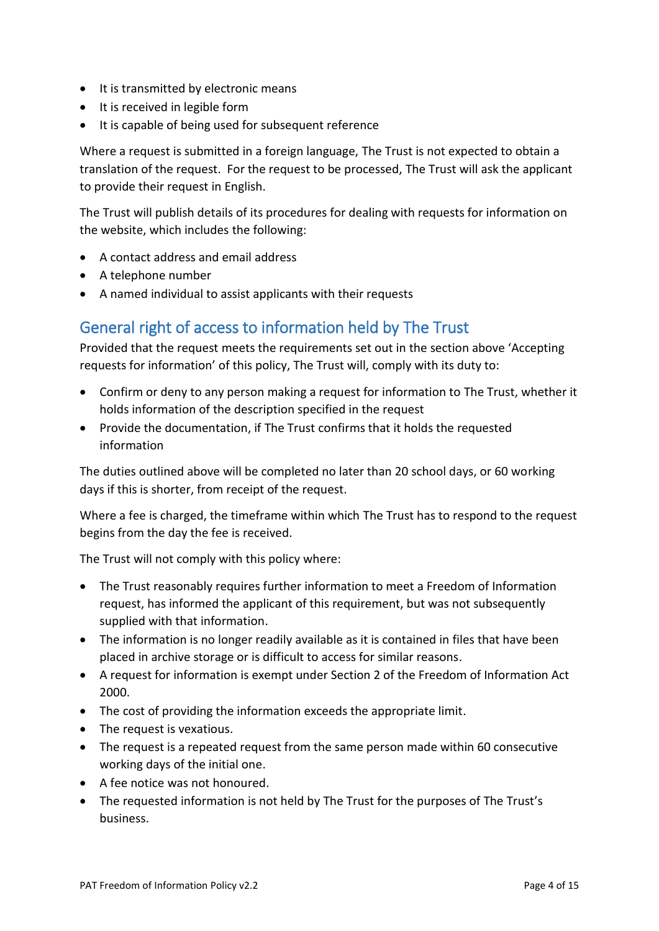- It is transmitted by electronic means
- It is received in legible form
- It is capable of being used for subsequent reference

Where a request is submitted in a foreign language, The Trust is not expected to obtain a translation of the request. For the request to be processed, The Trust will ask the applicant to provide their request in English.

The Trust will publish details of its procedures for dealing with requests for information on the website, which includes the following:

- A contact address and email address
- A telephone number
- A named individual to assist applicants with their requests

### <span id="page-3-0"></span>General right of access to information held by The Trust

Provided that the request meets the requirements set out in the section above 'Accepting requests for information' of this policy, The Trust will, comply with its duty to:

- Confirm or deny to any person making a request for information to The Trust, whether it holds information of the description specified in the request
- Provide the documentation, if The Trust confirms that it holds the requested information

The duties outlined above will be completed no later than 20 school days, or 60 working days if this is shorter, from receipt of the request.

Where a fee is charged, the timeframe within which The Trust has to respond to the request begins from the day the fee is received.

The Trust will not comply with this policy where:

- The Trust reasonably requires further information to meet a Freedom of Information request, has informed the applicant of this requirement, but was not subsequently supplied with that information.
- The information is no longer readily available as it is contained in files that have been placed in archive storage or is difficult to access for similar reasons.
- A request for information is exempt under Section 2 of the Freedom of Information Act 2000.
- The cost of providing the information exceeds the appropriate limit.
- The request is vexatious.
- The request is a repeated request from the same person made within 60 consecutive working days of the initial one.
- A fee notice was not honoured.
- The requested information is not held by The Trust for the purposes of The Trust's business.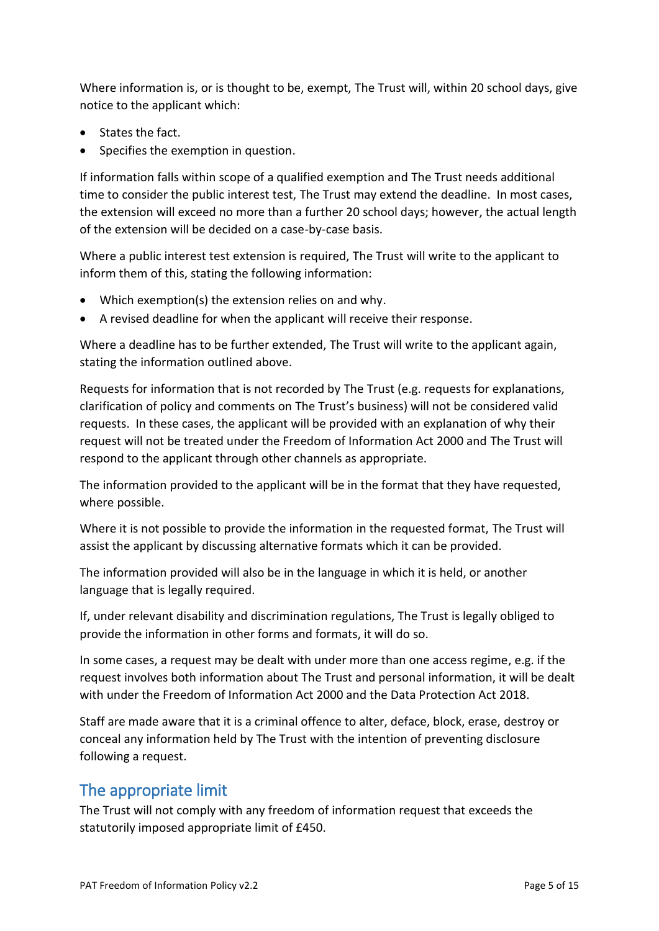Where information is, or is thought to be, exempt, The Trust will, within 20 school days, give notice to the applicant which:

- States the fact.
- Specifies the exemption in question.

If information falls within scope of a qualified exemption and The Trust needs additional time to consider the public interest test, The Trust may extend the deadline. In most cases, the extension will exceed no more than a further 20 school days; however, the actual length of the extension will be decided on a case-by-case basis.

Where a public interest test extension is required, The Trust will write to the applicant to inform them of this, stating the following information:

- Which exemption(s) the extension relies on and why.
- A revised deadline for when the applicant will receive their response.

Where a deadline has to be further extended, The Trust will write to the applicant again, stating the information outlined above.

Requests for information that is not recorded by The Trust (e.g. requests for explanations, clarification of policy and comments on The Trust's business) will not be considered valid requests. In these cases, the applicant will be provided with an explanation of why their request will not be treated under the Freedom of Information Act 2000 and The Trust will respond to the applicant through other channels as appropriate.

The information provided to the applicant will be in the format that they have requested, where possible.

Where it is not possible to provide the information in the requested format, The Trust will assist the applicant by discussing alternative formats which it can be provided.

The information provided will also be in the language in which it is held, or another language that is legally required.

If, under relevant disability and discrimination regulations, The Trust is legally obliged to provide the information in other forms and formats, it will do so.

In some cases, a request may be dealt with under more than one access regime, e.g. if the request involves both information about The Trust and personal information, it will be dealt with under the Freedom of Information Act 2000 and the Data Protection Act 2018.

Staff are made aware that it is a criminal offence to alter, deface, block, erase, destroy or conceal any information held by The Trust with the intention of preventing disclosure following a request.

### <span id="page-4-0"></span>The appropriate limit

The Trust will not comply with any freedom of information request that exceeds the statutorily imposed appropriate limit of £450.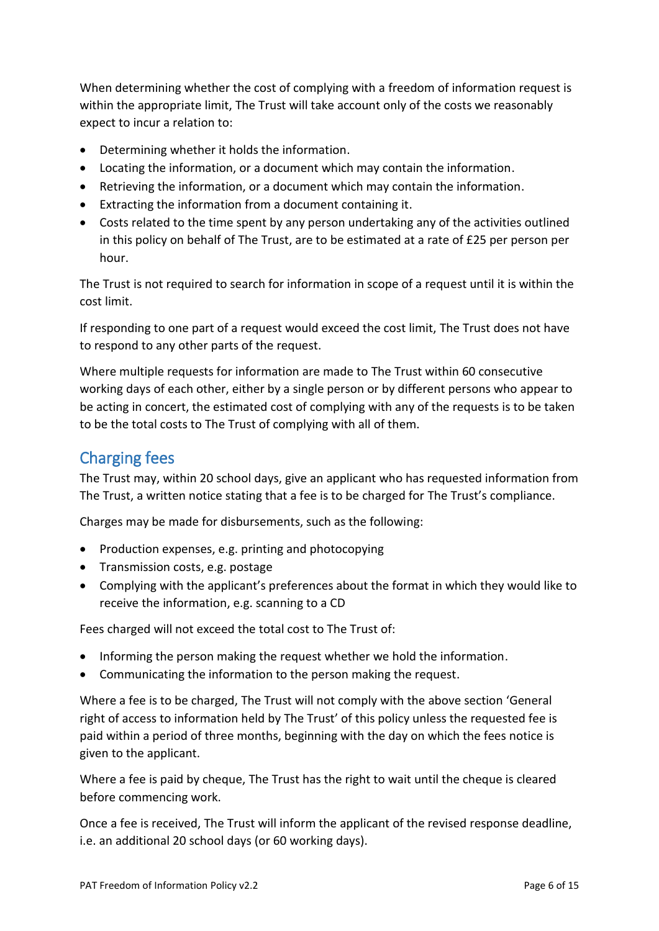When determining whether the cost of complying with a freedom of information request is within the appropriate limit, The Trust will take account only of the costs we reasonably expect to incur a relation to:

- Determining whether it holds the information.
- Locating the information, or a document which may contain the information.
- Retrieving the information, or a document which may contain the information.
- Extracting the information from a document containing it.
- Costs related to the time spent by any person undertaking any of the activities outlined in this policy on behalf of The Trust, are to be estimated at a rate of £25 per person per hour.

The Trust is not required to search for information in scope of a request until it is within the cost limit.

If responding to one part of a request would exceed the cost limit, The Trust does not have to respond to any other parts of the request.

Where multiple requests for information are made to The Trust within 60 consecutive working days of each other, either by a single person or by different persons who appear to be acting in concert, the estimated cost of complying with any of the requests is to be taken to be the total costs to The Trust of complying with all of them.

# <span id="page-5-0"></span>Charging fees

The Trust may, within 20 school days, give an applicant who has requested information from The Trust, a written notice stating that a fee is to be charged for The Trust's compliance.

Charges may be made for disbursements, such as the following:

- Production expenses, e.g. printing and photocopying
- Transmission costs, e.g. postage
- Complying with the applicant's preferences about the format in which they would like to receive the information, e.g. scanning to a CD

Fees charged will not exceed the total cost to The Trust of:

- Informing the person making the request whether we hold the information.
- Communicating the information to the person making the request.

Where a fee is to be charged, The Trust will not comply with the above section 'General right of access to information held by The Trust' of this policy unless the requested fee is paid within a period of three months, beginning with the day on which the fees notice is given to the applicant.

Where a fee is paid by cheque, The Trust has the right to wait until the cheque is cleared before commencing work.

Once a fee is received, The Trust will inform the applicant of the revised response deadline, i.e. an additional 20 school days (or 60 working days).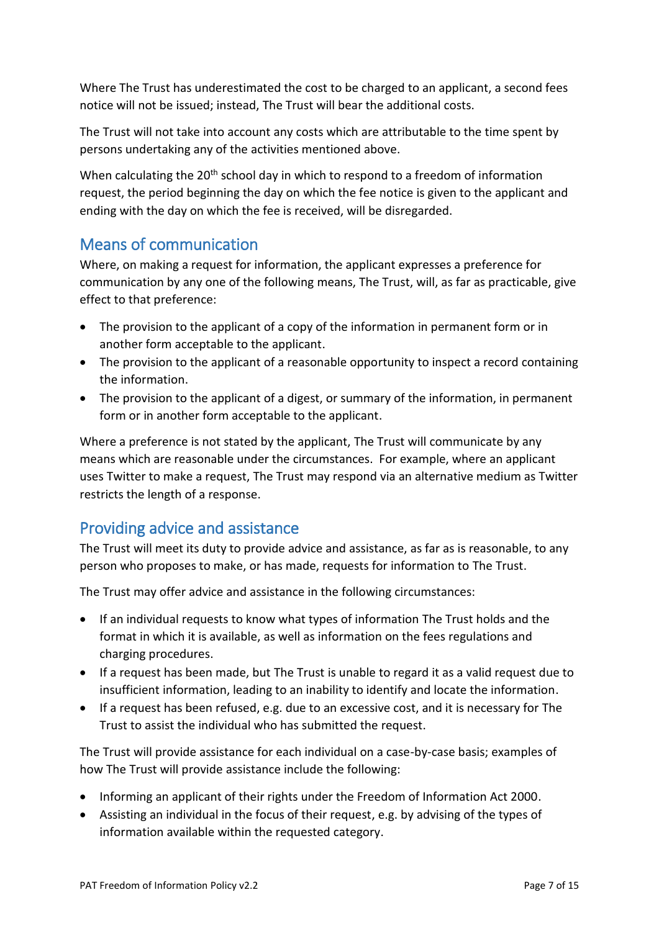Where The Trust has underestimated the cost to be charged to an applicant, a second fees notice will not be issued; instead, The Trust will bear the additional costs.

The Trust will not take into account any costs which are attributable to the time spent by persons undertaking any of the activities mentioned above.

When calculating the  $20<sup>th</sup>$  school day in which to respond to a freedom of information request, the period beginning the day on which the fee notice is given to the applicant and ending with the day on which the fee is received, will be disregarded.

### <span id="page-6-0"></span>Means of communication

Where, on making a request for information, the applicant expresses a preference for communication by any one of the following means, The Trust, will, as far as practicable, give effect to that preference:

- The provision to the applicant of a copy of the information in permanent form or in another form acceptable to the applicant.
- The provision to the applicant of a reasonable opportunity to inspect a record containing the information.
- The provision to the applicant of a digest, or summary of the information, in permanent form or in another form acceptable to the applicant.

Where a preference is not stated by the applicant, The Trust will communicate by any means which are reasonable under the circumstances. For example, where an applicant uses Twitter to make a request, The Trust may respond via an alternative medium as Twitter restricts the length of a response.

### <span id="page-6-1"></span>Providing advice and assistance

The Trust will meet its duty to provide advice and assistance, as far as is reasonable, to any person who proposes to make, or has made, requests for information to The Trust.

The Trust may offer advice and assistance in the following circumstances:

- If an individual requests to know what types of information The Trust holds and the format in which it is available, as well as information on the fees regulations and charging procedures.
- If a request has been made, but The Trust is unable to regard it as a valid request due to insufficient information, leading to an inability to identify and locate the information.
- If a request has been refused, e.g. due to an excessive cost, and it is necessary for The Trust to assist the individual who has submitted the request.

The Trust will provide assistance for each individual on a case-by-case basis; examples of how The Trust will provide assistance include the following:

- Informing an applicant of their rights under the Freedom of Information Act 2000.
- Assisting an individual in the focus of their request, e.g. by advising of the types of information available within the requested category.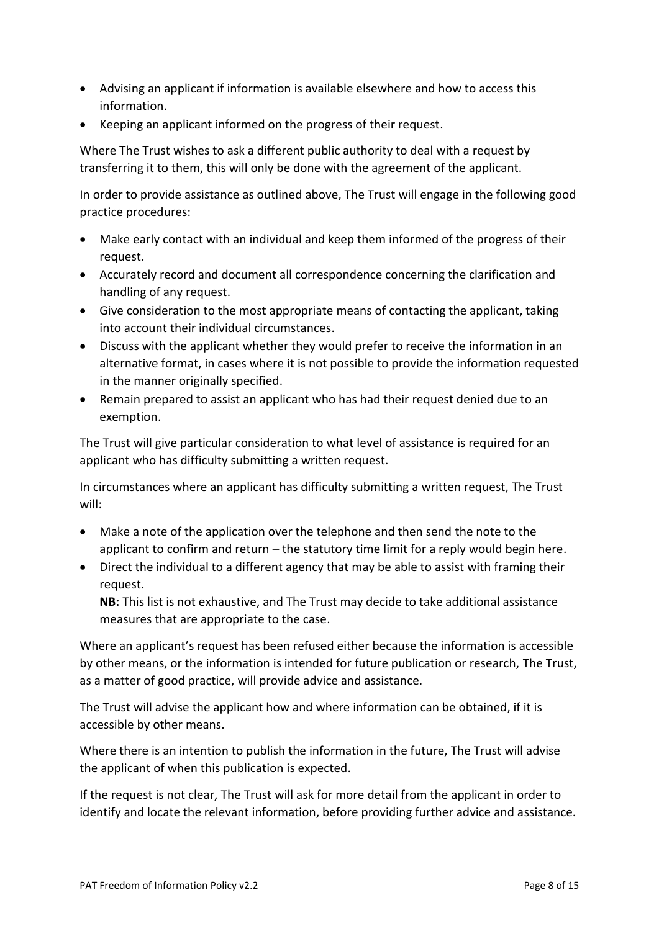- Advising an applicant if information is available elsewhere and how to access this information.
- Keeping an applicant informed on the progress of their request.

Where The Trust wishes to ask a different public authority to deal with a request by transferring it to them, this will only be done with the agreement of the applicant.

In order to provide assistance as outlined above, The Trust will engage in the following good practice procedures:

- Make early contact with an individual and keep them informed of the progress of their request.
- Accurately record and document all correspondence concerning the clarification and handling of any request.
- Give consideration to the most appropriate means of contacting the applicant, taking into account their individual circumstances.
- Discuss with the applicant whether they would prefer to receive the information in an alternative format, in cases where it is not possible to provide the information requested in the manner originally specified.
- Remain prepared to assist an applicant who has had their request denied due to an exemption.

The Trust will give particular consideration to what level of assistance is required for an applicant who has difficulty submitting a written request.

In circumstances where an applicant has difficulty submitting a written request, The Trust will:

- Make a note of the application over the telephone and then send the note to the applicant to confirm and return – the statutory time limit for a reply would begin here.
- Direct the individual to a different agency that may be able to assist with framing their request.

**NB:** This list is not exhaustive, and The Trust may decide to take additional assistance measures that are appropriate to the case.

Where an applicant's request has been refused either because the information is accessible by other means, or the information is intended for future publication or research, The Trust, as a matter of good practice, will provide advice and assistance.

The Trust will advise the applicant how and where information can be obtained, if it is accessible by other means.

Where there is an intention to publish the information in the future, The Trust will advise the applicant of when this publication is expected.

If the request is not clear, The Trust will ask for more detail from the applicant in order to identify and locate the relevant information, before providing further advice and assistance.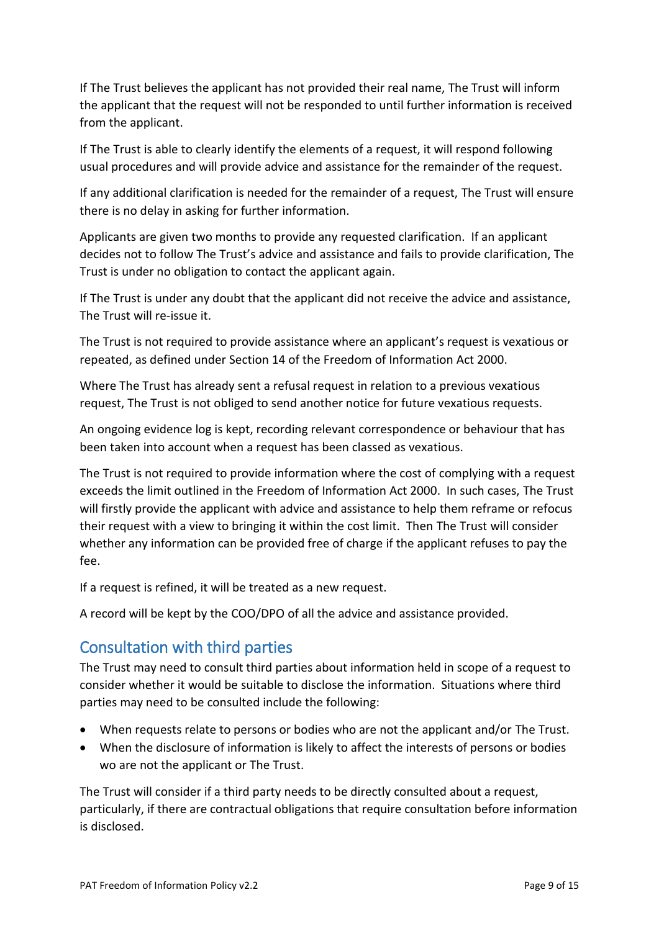If The Trust believes the applicant has not provided their real name, The Trust will inform the applicant that the request will not be responded to until further information is received from the applicant.

If The Trust is able to clearly identify the elements of a request, it will respond following usual procedures and will provide advice and assistance for the remainder of the request.

If any additional clarification is needed for the remainder of a request, The Trust will ensure there is no delay in asking for further information.

Applicants are given two months to provide any requested clarification. If an applicant decides not to follow The Trust's advice and assistance and fails to provide clarification, The Trust is under no obligation to contact the applicant again.

If The Trust is under any doubt that the applicant did not receive the advice and assistance, The Trust will re-issue it.

The Trust is not required to provide assistance where an applicant's request is vexatious or repeated, as defined under Section 14 of the Freedom of Information Act 2000.

Where The Trust has already sent a refusal request in relation to a previous vexatious request, The Trust is not obliged to send another notice for future vexatious requests.

An ongoing evidence log is kept, recording relevant correspondence or behaviour that has been taken into account when a request has been classed as vexatious.

The Trust is not required to provide information where the cost of complying with a request exceeds the limit outlined in the Freedom of Information Act 2000. In such cases, The Trust will firstly provide the applicant with advice and assistance to help them reframe or refocus their request with a view to bringing it within the cost limit. Then The Trust will consider whether any information can be provided free of charge if the applicant refuses to pay the fee.

If a request is refined, it will be treated as a new request.

A record will be kept by the COO/DPO of all the advice and assistance provided.

### <span id="page-8-0"></span>Consultation with third parties

The Trust may need to consult third parties about information held in scope of a request to consider whether it would be suitable to disclose the information. Situations where third parties may need to be consulted include the following:

- When requests relate to persons or bodies who are not the applicant and/or The Trust.
- When the disclosure of information is likely to affect the interests of persons or bodies wo are not the applicant or The Trust.

The Trust will consider if a third party needs to be directly consulted about a request, particularly, if there are contractual obligations that require consultation before information is disclosed.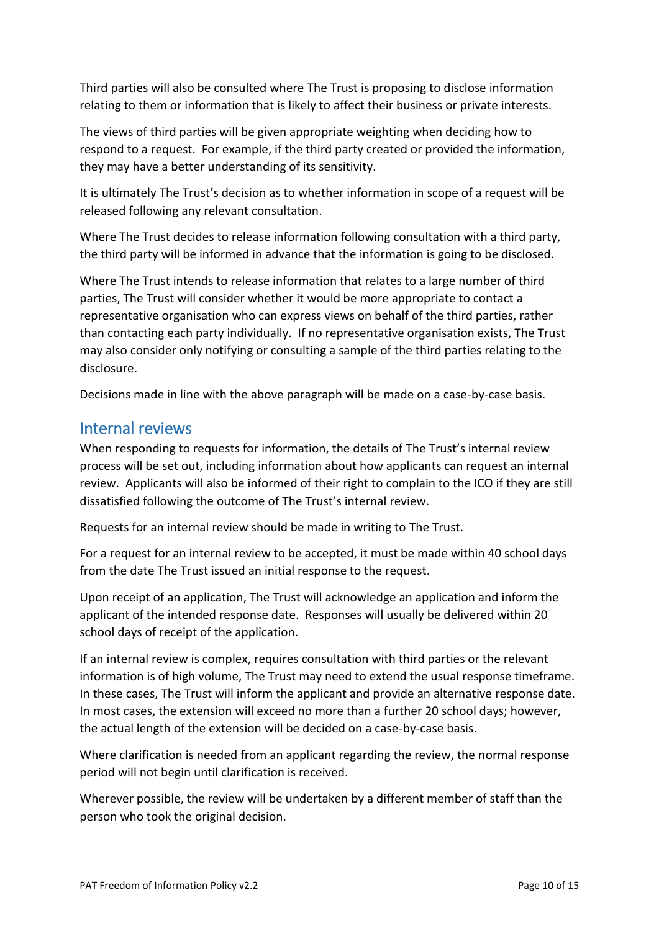Third parties will also be consulted where The Trust is proposing to disclose information relating to them or information that is likely to affect their business or private interests.

The views of third parties will be given appropriate weighting when deciding how to respond to a request. For example, if the third party created or provided the information, they may have a better understanding of its sensitivity.

It is ultimately The Trust's decision as to whether information in scope of a request will be released following any relevant consultation.

Where The Trust decides to release information following consultation with a third party, the third party will be informed in advance that the information is going to be disclosed.

Where The Trust intends to release information that relates to a large number of third parties, The Trust will consider whether it would be more appropriate to contact a representative organisation who can express views on behalf of the third parties, rather than contacting each party individually. If no representative organisation exists, The Trust may also consider only notifying or consulting a sample of the third parties relating to the disclosure.

Decisions made in line with the above paragraph will be made on a case-by-case basis.

### <span id="page-9-0"></span>Internal reviews

When responding to requests for information, the details of The Trust's internal review process will be set out, including information about how applicants can request an internal review. Applicants will also be informed of their right to complain to the ICO if they are still dissatisfied following the outcome of The Trust's internal review.

Requests for an internal review should be made in writing to The Trust.

For a request for an internal review to be accepted, it must be made within 40 school days from the date The Trust issued an initial response to the request.

Upon receipt of an application, The Trust will acknowledge an application and inform the applicant of the intended response date. Responses will usually be delivered within 20 school days of receipt of the application.

If an internal review is complex, requires consultation with third parties or the relevant information is of high volume, The Trust may need to extend the usual response timeframe. In these cases, The Trust will inform the applicant and provide an alternative response date. In most cases, the extension will exceed no more than a further 20 school days; however, the actual length of the extension will be decided on a case-by-case basis.

Where clarification is needed from an applicant regarding the review, the normal response period will not begin until clarification is received.

Wherever possible, the review will be undertaken by a different member of staff than the person who took the original decision.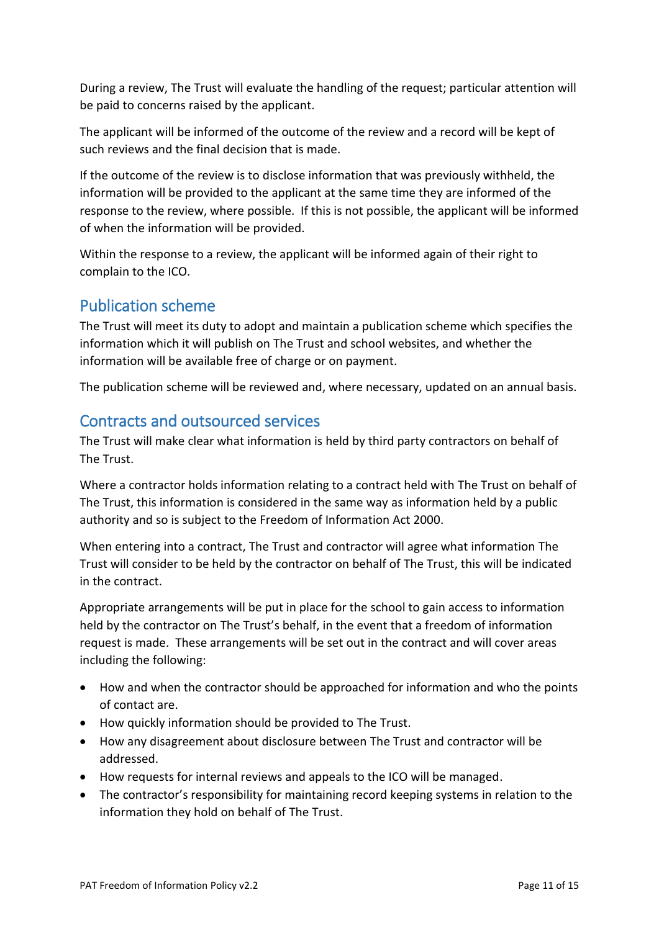During a review, The Trust will evaluate the handling of the request; particular attention will be paid to concerns raised by the applicant.

The applicant will be informed of the outcome of the review and a record will be kept of such reviews and the final decision that is made.

If the outcome of the review is to disclose information that was previously withheld, the information will be provided to the applicant at the same time they are informed of the response to the review, where possible. If this is not possible, the applicant will be informed of when the information will be provided.

Within the response to a review, the applicant will be informed again of their right to complain to the ICO.

### <span id="page-10-0"></span>Publication scheme

The Trust will meet its duty to adopt and maintain a publication scheme which specifies the information which it will publish on The Trust and school websites, and whether the information will be available free of charge or on payment.

The publication scheme will be reviewed and, where necessary, updated on an annual basis.

#### <span id="page-10-1"></span>Contracts and outsourced services

The Trust will make clear what information is held by third party contractors on behalf of The Trust.

Where a contractor holds information relating to a contract held with The Trust on behalf of The Trust, this information is considered in the same way as information held by a public authority and so is subject to the Freedom of Information Act 2000.

When entering into a contract, The Trust and contractor will agree what information The Trust will consider to be held by the contractor on behalf of The Trust, this will be indicated in the contract.

Appropriate arrangements will be put in place for the school to gain access to information held by the contractor on The Trust's behalf, in the event that a freedom of information request is made. These arrangements will be set out in the contract and will cover areas including the following:

- How and when the contractor should be approached for information and who the points of contact are.
- How quickly information should be provided to The Trust.
- How any disagreement about disclosure between The Trust and contractor will be addressed.
- How requests for internal reviews and appeals to the ICO will be managed.
- The contractor's responsibility for maintaining record keeping systems in relation to the information they hold on behalf of The Trust.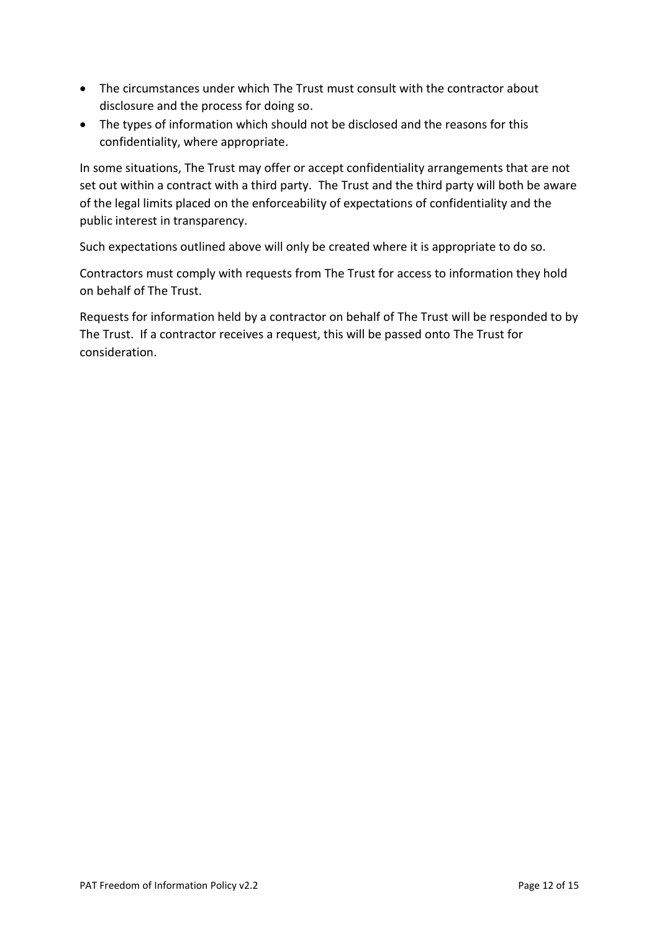- The circumstances under which The Trust must consult with the contractor about disclosure and the process for doing so.
- The types of information which should not be disclosed and the reasons for this confidentiality, where appropriate.

In some situations, The Trust may offer or accept confidentiality arrangements that are not set out within a contract with a third party. The Trust and the third party will both be aware of the legal limits placed on the enforceability of expectations of confidentiality and the public interest in transparency.

Such expectations outlined above will only be created where it is appropriate to do so.

Contractors must comply with requests from The Trust for access to information they hold on behalf of The Trust.

Requests for information held by a contractor on behalf of The Trust will be responded to by The Trust. If a contractor receives a request, this will be passed onto The Trust for consideration.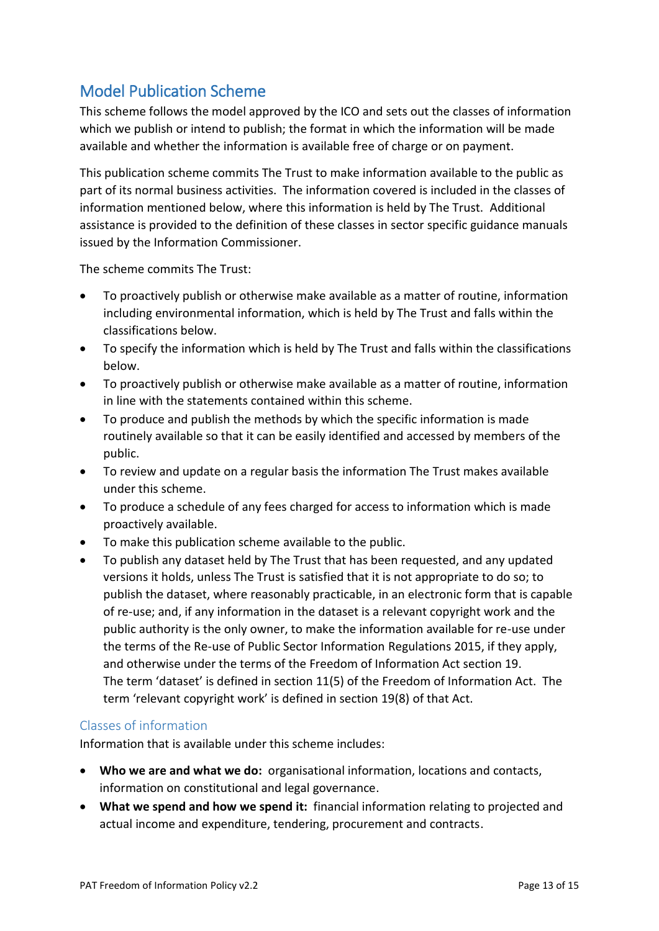# <span id="page-12-0"></span>Model Publication Scheme

This scheme follows the model approved by the ICO and sets out the classes of information which we publish or intend to publish; the format in which the information will be made available and whether the information is available free of charge or on payment.

This publication scheme commits The Trust to make information available to the public as part of its normal business activities. The information covered is included in the classes of information mentioned below, where this information is held by The Trust. Additional assistance is provided to the definition of these classes in sector specific guidance manuals issued by the Information Commissioner.

The scheme commits The Trust:

- To proactively publish or otherwise make available as a matter of routine, information including environmental information, which is held by The Trust and falls within the classifications below.
- To specify the information which is held by The Trust and falls within the classifications below.
- To proactively publish or otherwise make available as a matter of routine, information in line with the statements contained within this scheme.
- To produce and publish the methods by which the specific information is made routinely available so that it can be easily identified and accessed by members of the public.
- To review and update on a regular basis the information The Trust makes available under this scheme.
- To produce a schedule of any fees charged for access to information which is made proactively available.
- To make this publication scheme available to the public.
- To publish any dataset held by The Trust that has been requested, and any updated versions it holds, unless The Trust is satisfied that it is not appropriate to do so; to publish the dataset, where reasonably practicable, in an electronic form that is capable of re-use; and, if any information in the dataset is a relevant copyright work and the public authority is the only owner, to make the information available for re-use under the terms of the Re-use of Public Sector Information Regulations 2015, if they apply, and otherwise under the terms of the Freedom of Information Act section 19. The term 'dataset' is defined in section 11(5) of the Freedom of Information Act. The term 'relevant copyright work' is defined in section 19(8) of that Act.

#### <span id="page-12-1"></span>Classes of information

Information that is available under this scheme includes:

- **Who we are and what we do:** organisational information, locations and contacts, information on constitutional and legal governance.
- **What we spend and how we spend it:** financial information relating to projected and actual income and expenditure, tendering, procurement and contracts.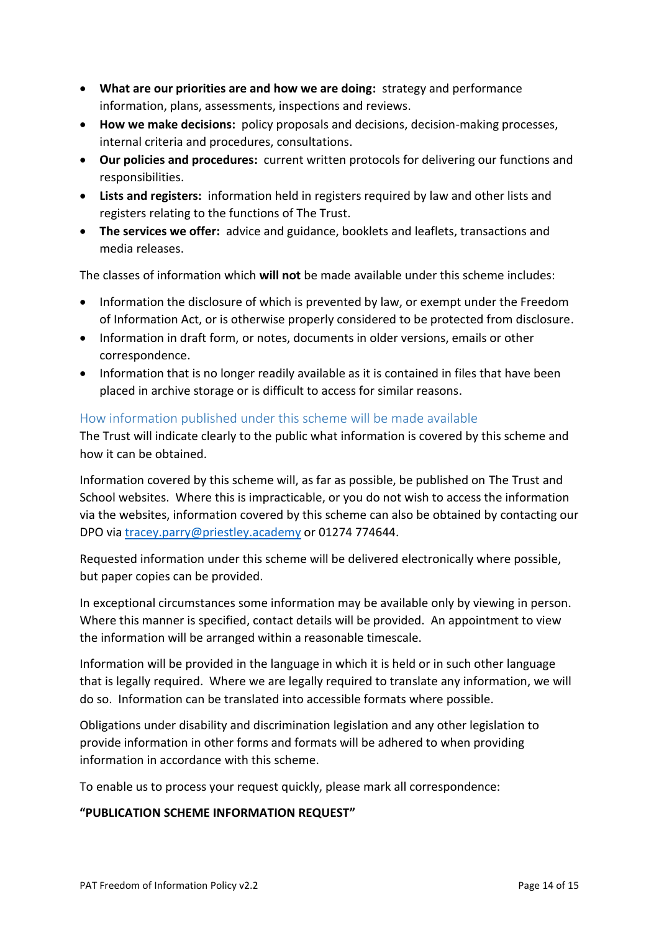- **What are our priorities are and how we are doing:** strategy and performance information, plans, assessments, inspections and reviews.
- **How we make decisions:** policy proposals and decisions, decision-making processes, internal criteria and procedures, consultations.
- **Our policies and procedures:** current written protocols for delivering our functions and responsibilities.
- **Lists and registers:** information held in registers required by law and other lists and registers relating to the functions of The Trust.
- **The services we offer:** advice and guidance, booklets and leaflets, transactions and media releases.

The classes of information which **will not** be made available under this scheme includes:

- Information the disclosure of which is prevented by law, or exempt under the Freedom of Information Act, or is otherwise properly considered to be protected from disclosure.
- Information in draft form, or notes, documents in older versions, emails or other correspondence.
- Information that is no longer readily available as it is contained in files that have been placed in archive storage or is difficult to access for similar reasons.

#### <span id="page-13-0"></span>How information published under this scheme will be made available

The Trust will indicate clearly to the public what information is covered by this scheme and how it can be obtained.

Information covered by this scheme will, as far as possible, be published on The Trust and School websites. Where this is impracticable, or you do not wish to access the information via the websites, information covered by this scheme can also be obtained by contacting our DPO via [tracey.parry@priestley.academy](mailto:tracey.parry@priestley.academy) or 01274 774644.

Requested information under this scheme will be delivered electronically where possible, but paper copies can be provided.

In exceptional circumstances some information may be available only by viewing in person. Where this manner is specified, contact details will be provided. An appointment to view the information will be arranged within a reasonable timescale.

Information will be provided in the language in which it is held or in such other language that is legally required. Where we are legally required to translate any information, we will do so. Information can be translated into accessible formats where possible.

Obligations under disability and discrimination legislation and any other legislation to provide information in other forms and formats will be adhered to when providing information in accordance with this scheme.

To enable us to process your request quickly, please mark all correspondence:

#### **"PUBLICATION SCHEME INFORMATION REQUEST"**